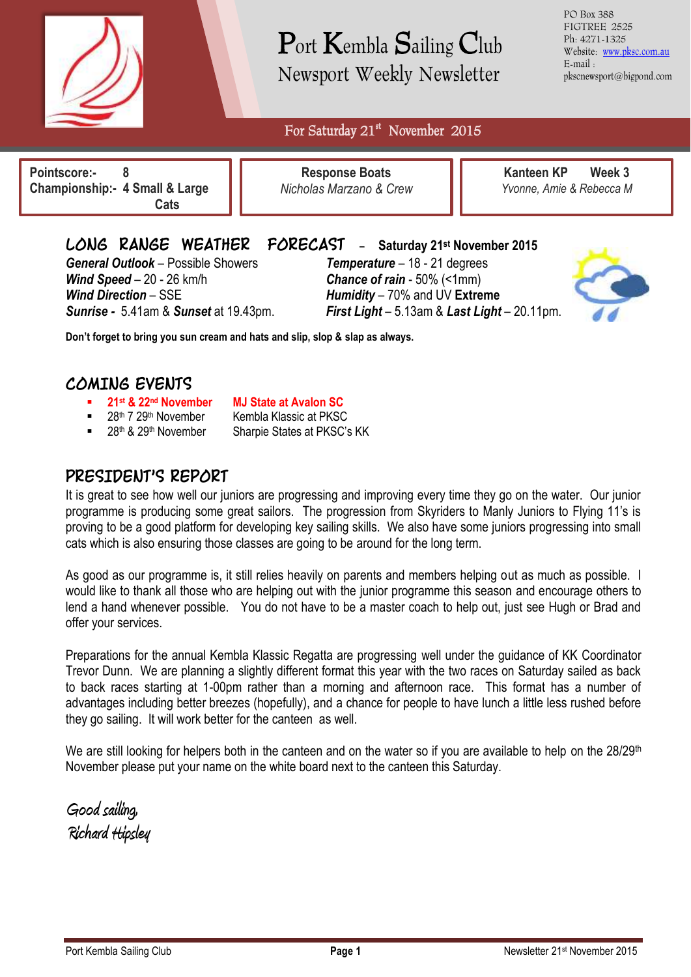

# Port Kembla Sailing Club Newsport Weekly Newsletter

PO Box 388 FIGTREE 2525 Ph: 4271-1325 Website: [www.pksc.com.au](http://www.pksc.com.au/) E-mail : pkscnewsport@bigpond.com

For Saturday 21<sup>st</sup> November 2015

 $\overline{a}$ **Pointscore:- 8 Championship:- 4 Small & Large Cats**

**Response Boats** *Nicholas Marzano & Crew*

**Kanteen KP Week 3** *Yvonne, Amie & Rebecca M*

*General Outlook* – Possible Showers *Temperature* – 18 - 21 degrees *Wind Speed* – 20 - 26 km/h *Chance of rain* - 50% (<1mm) *Wind Direction* – SSE *Humidity* – 70% and UV **Extreme**

**LONG RANGE WEATHER FORECAST** - **Saturday 21st November <sup>2015</sup>**

*Sunrise -* 5.41am & *Sunset* at 19.43pm. *First Light* – 5.13am & *Last Light* – 20.11pm.



**Don't forget to bring you sun cream and hats and slip, slop & slap as always.**

#### **COMING EVENTS**

- **21st & 22nd November MJ State at Avalon SC**
	- Kembla Klassic at PKSC
- 

28th & 29th November Sharpie States at PKSC's KK

### **PRESIDENT'S REPORT**

It is great to see how well our juniors are progressing and improving every time they go on the water. Our junior programme is producing some great sailors. The progression from Skyriders to Manly Juniors to Flying 11's is proving to be a good platform for developing key sailing skills. We also have some juniors progressing into small cats which is also ensuring those classes are going to be around for the long term.

As good as our programme is, it still relies heavily on parents and members helping out as much as possible. I would like to thank all those who are helping out with the junior programme this season and encourage others to lend a hand whenever possible. You do not have to be a master coach to help out, just see Hugh or Brad and offer your services.

Preparations for the annual Kembla Klassic Regatta are progressing well under the guidance of KK Coordinator Trevor Dunn. We are planning a slightly different format this year with the two races on Saturday sailed as back to back races starting at 1-00pm rather than a morning and afternoon race. This format has a number of advantages including better breezes (hopefully), and a chance for people to have lunch a little less rushed before they go sailing. It will work better for the canteen as well.

We are still looking for helpers both in the canteen and on the water so if you are available to help on the  $28/29<sup>th</sup>$ November please put your name on the white board next to the canteen this Saturday.

**Good sailing, Richard Hipsley**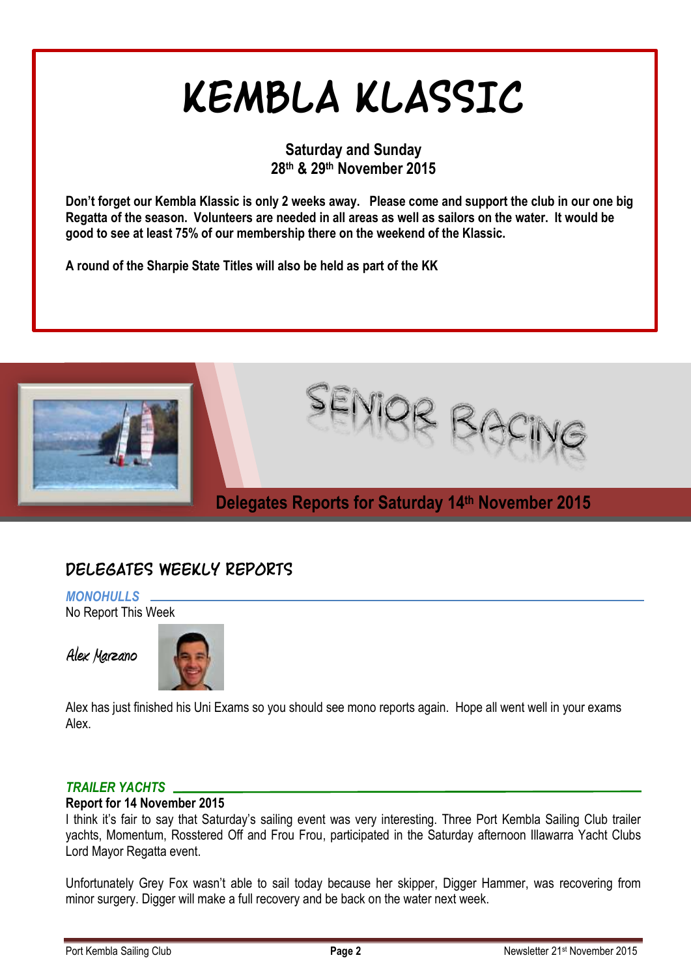# **KEMBLA KLASSIC**

#### **Saturday and Sunday 28th & 29th November 2015**

**Don't forget our Kembla Klassic is only 2 weeks away. Please come and support the club in our one big Regatta of the season. Volunteers are needed in all areas as well as sailors on the water. It would be good to see at least 75% of our membership there on the weekend of the Klassic.** 

**A round of the Sharpie State Titles will also be held as part of the KK**



## **DELEGATES WEEKLY REPORTS**

*MONOHULLS* No Report This Week

**Alex Marzano**



Alex has just finished his Uni Exams so you should see mono reports again. Hope all went well in your exams Alex.

#### *TRAILER YACHTS*

#### **Report for 14 November 2015**

I think it's fair to say that Saturday's sailing event was very interesting. Three Port Kembla Sailing Club trailer yachts, Momentum, Rosstered Off and Frou Frou, participated in the Saturday afternoon Illawarra Yacht Clubs Lord Mayor Regatta event.

Unfortunately Grey Fox wasn't able to sail today because her skipper, Digger Hammer, was recovering from minor surgery. Digger will make a full recovery and be back on the water next week.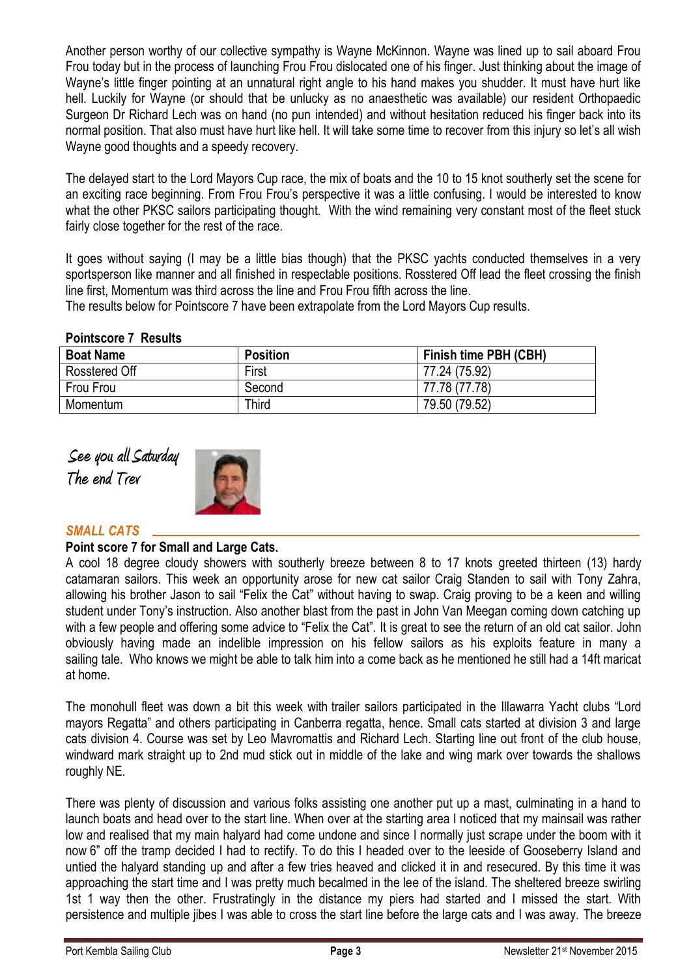Another person worthy of our collective sympathy is Wayne McKinnon. Wayne was lined up to sail aboard Frou Frou today but in the process of launching Frou Frou dislocated one of his finger. Just thinking about the image of Wayne's little finger pointing at an unnatural right angle to his hand makes you shudder. It must have hurt like hell. Luckily for Wayne (or should that be unlucky as no anaesthetic was available) our resident Orthopaedic Surgeon Dr Richard Lech was on hand (no pun intended) and without hesitation reduced his finger back into its normal position. That also must have hurt like hell. It will take some time to recover from this injury so let's all wish Wayne good thoughts and a speedy recovery.

The delayed start to the Lord Mayors Cup race, the mix of boats and the 10 to 15 knot southerly set the scene for an exciting race beginning. From Frou Frou's perspective it was a little confusing. I would be interested to know what the other PKSC sailors participating thought. With the wind remaining very constant most of the fleet stuck fairly close together for the rest of the race.

It goes without saying (I may be a little bias though) that the PKSC yachts conducted themselves in a very sportsperson like manner and all finished in respectable positions. Rosstered Off lead the fleet crossing the finish line first, Momentum was third across the line and Frou Frou fifth across the line.

The results below for Pointscore 7 have been extrapolate from the Lord Mayors Cup results.

#### **Pointscore 7 Results**

| <b>Boat Name</b> | <b>Position</b> | Finish time PBH (CBH) |
|------------------|-----------------|-----------------------|
| Rosstered Off    | First           | 77.24 (75.92)         |
| Frou Frou        | Second          | 77.78 (77.78)         |
| Momentum         | Third           | 79.50 (79.52)         |

**See you all Saturday The end Trev**



#### *SMALL CATS*

#### **Point score 7 for Small and Large Cats.**

A cool 18 degree cloudy showers with southerly breeze between 8 to 17 knots greeted thirteen (13) hardy catamaran sailors. This week an opportunity arose for new cat sailor Craig Standen to sail with Tony Zahra, allowing his brother Jason to sail "Felix the Cat" without having to swap. Craig proving to be a keen and willing student under Tony's instruction. Also another blast from the past in John Van Meegan coming down catching up with a few people and offering some advice to "Felix the Cat". It is great to see the return of an old cat sailor. John obviously having made an indelible impression on his fellow sailors as his exploits feature in many a sailing tale. Who knows we might be able to talk him into a come back as he mentioned he still had a 14ft maricat at home.

The monohull fleet was down a bit this week with trailer sailors participated in the Illawarra Yacht clubs "Lord mayors Regatta" and others participating in Canberra regatta, hence. Small cats started at division 3 and large cats division 4. Course was set by Leo Mavromattis and Richard Lech. Starting line out front of the club house, windward mark straight up to 2nd mud stick out in middle of the lake and wing mark over towards the shallows roughly NE.

There was plenty of discussion and various folks assisting one another put up a mast, culminating in a hand to launch boats and head over to the start line. When over at the starting area I noticed that my mainsail was rather low and realised that my main halyard had come undone and since I normally just scrape under the boom with it now 6" off the tramp decided I had to rectify. To do this I headed over to the leeside of Gooseberry Island and untied the halyard standing up and after a few tries heaved and clicked it in and resecured. By this time it was approaching the start time and I was pretty much becalmed in the lee of the island. The sheltered breeze swirling 1st 1 way then the other. Frustratingly in the distance my piers had started and I missed the start. With persistence and multiple jibes I was able to cross the start line before the large cats and I was away. The breeze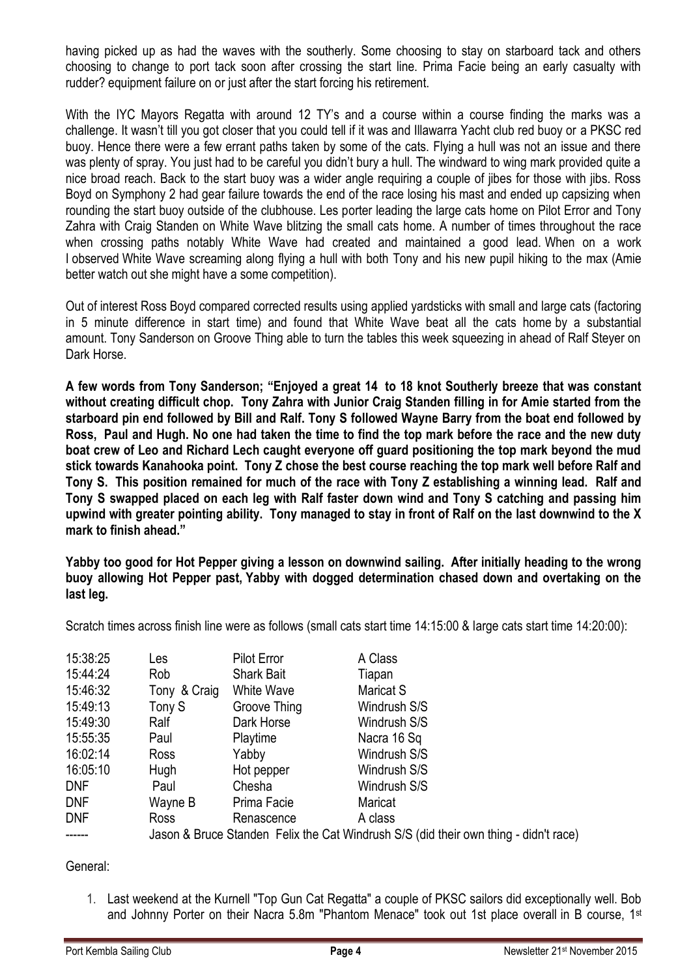having picked up as had the waves with the southerly. Some choosing to stay on starboard tack and others choosing to change to port tack soon after crossing the start line. Prima Facie being an early casualty with rudder? equipment failure on or just after the start forcing his retirement.

With the IYC Mayors Regatta with around 12 TY's and a course within a course finding the marks was a challenge. It wasn't till you got closer that you could tell if it was and Illawarra Yacht club red buoy or a PKSC red buoy. Hence there were a few errant paths taken by some of the cats. Flying a hull was not an issue and there was plenty of spray. You just had to be careful you didn't bury a hull. The windward to wing mark provided quite a nice broad reach. Back to the start buoy was a wider angle requiring a couple of jibes for those with jibs. Ross Boyd on Symphony 2 had gear failure towards the end of the race losing his mast and ended up capsizing when rounding the start buoy outside of the clubhouse. Les porter leading the large cats home on Pilot Error and Tony Zahra with Craig Standen on White Wave blitzing the small cats home. A number of times throughout the race when crossing paths notably White Wave had created and maintained a good lead. When on a work I observed White Wave screaming along flying a hull with both Tony and his new pupil hiking to the max (Amie better watch out she might have a some competition).

Out of interest Ross Boyd compared corrected results using applied yardsticks with small and large cats (factoring in 5 minute difference in start time) and found that White Wave beat all the cats home by a substantial amount. Tony Sanderson on Groove Thing able to turn the tables this week squeezing in ahead of Ralf Stever on Dark Horse.

**A few words from Tony Sanderson; "Enjoyed a great 14 to 18 knot Southerly breeze that was constant without creating difficult chop. Tony Zahra with Junior Craig Standen filling in for Amie started from the starboard pin end followed by Bill and Ralf. Tony S followed Wayne Barry from the boat end followed by Ross, Paul and Hugh. No one had taken the time to find the top mark before the race and the new duty boat crew of Leo and Richard Lech caught everyone off guard positioning the top mark beyond the mud stick towards Kanahooka point. Tony Z chose the best course reaching the top mark well before Ralf and Tony S. This position remained for much of the race with Tony Z establishing a winning lead. Ralf and Tony S swapped placed on each leg with Ralf faster down wind and Tony S catching and passing him upwind with greater pointing ability. Tony managed to stay in front of Ralf on the last downwind to the X mark to finish ahead."**

**Yabby too good for Hot Pepper giving a lesson on downwind sailing. After initially heading to the wrong buoy allowing Hot Pepper past, Yabby with dogged determination chased down and overtaking on the last leg.** 

Scratch times across finish line were as follows (small cats start time 14:15:00 & large cats start time 14:20:00):

| 15:38:25   | Les          | <b>Pilot Error</b> | A Class                                                                              |
|------------|--------------|--------------------|--------------------------------------------------------------------------------------|
| 15:44:24   | Rob          | <b>Shark Bait</b>  | Tiapan                                                                               |
| 15:46:32   | Tony & Craig | White Wave         | Maricat S                                                                            |
| 15:49:13   | Tony S       | Groove Thing       | Windrush S/S                                                                         |
| 15:49:30   | Ralf         | Dark Horse         | Windrush S/S                                                                         |
| 15:55:35   | Paul         | Playtime           | Nacra 16 Sq                                                                          |
| 16:02:14   | Ross         | Yabby              | Windrush S/S                                                                         |
| 16:05:10   | <b>Hugh</b>  | Hot pepper         | Windrush S/S                                                                         |
| <b>DNF</b> | Paul         | Chesha             | Windrush S/S                                                                         |
| <b>DNF</b> | Wayne B      | Prima Facie        | Maricat                                                                              |
| <b>DNF</b> | Ross         | Renascence         | A class                                                                              |
|            |              |                    | Jason & Bruce Standen Felix the Cat Windrush S/S (did their own thing - didn't race) |

General:

1. Last weekend at the Kurnell "Top Gun Cat Regatta" a couple of PKSC sailors did exceptionally well. Bob and Johnny Porter on their Nacra 5.8m "Phantom Menace" took out 1st place overall in B course, 1st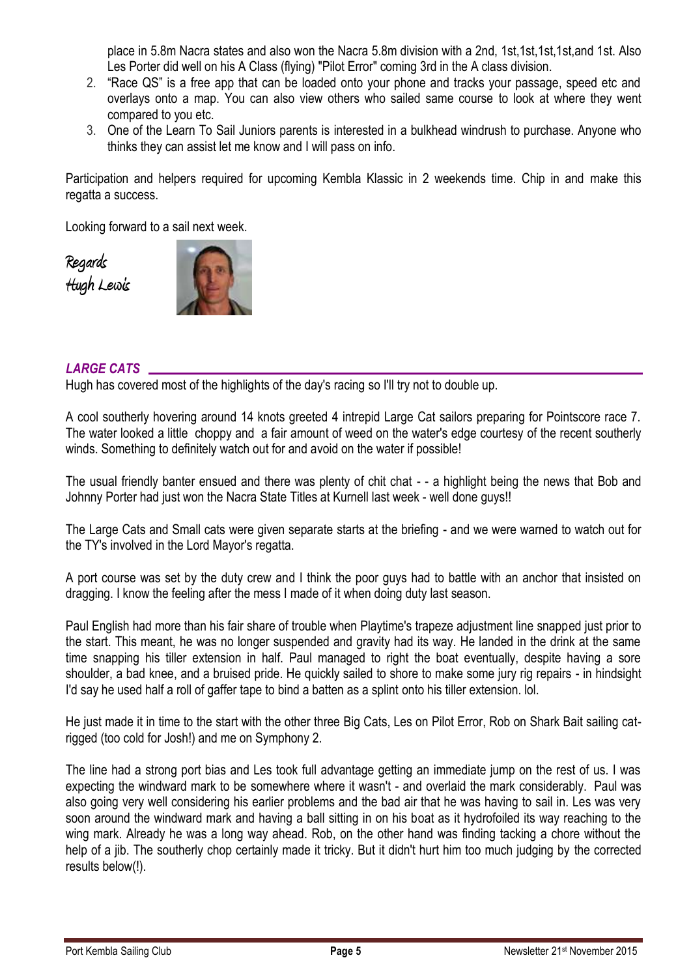place in 5.8m Nacra states and also won the Nacra 5.8m division with a 2nd, 1st,1st,1st,1st,and 1st. Also Les Porter did well on his A Class (flying) "Pilot Error" coming 3rd in the A class division.

- 2. "Race QS" is a free app that can be loaded onto your phone and tracks your passage, speed etc and overlays onto a map. You can also view others who sailed same course to look at where they went compared to you etc.
- 3. One of the Learn To Sail Juniors parents is interested in a bulkhead windrush to purchase. Anyone who thinks they can assist let me know and I will pass on info.

Participation and helpers required for upcoming Kembla Klassic in 2 weekends time. Chip in and make this regatta a success.

Looking forward to a sail next week.

**Regards Hugh Lewis**



#### *LARGE CATS*

Hugh has covered most of the highlights of the day's racing so I'll try not to double up.

A cool southerly hovering around 14 knots greeted 4 intrepid Large Cat sailors preparing for Pointscore race 7. The water looked a little choppy and a fair amount of weed on the water's edge courtesy of the recent southerly winds. Something to definitely watch out for and avoid on the water if possible!

The usual friendly banter ensued and there was plenty of chit chat - - a highlight being the news that Bob and Johnny Porter had just won the Nacra State Titles at Kurnell last week - well done guys!!

The Large Cats and Small cats were given separate starts at the briefing - and we were warned to watch out for the TY's involved in the Lord Mayor's regatta.

A port course was set by the duty crew and I think the poor guys had to battle with an anchor that insisted on dragging. I know the feeling after the mess I made of it when doing duty last season.

Paul English had more than his fair share of trouble when Playtime's trapeze adjustment line snapped just prior to the start. This meant, he was no longer suspended and gravity had its way. He landed in the drink at the same time snapping his tiller extension in half. Paul managed to right the boat eventually, despite having a sore shoulder, a bad knee, and a bruised pride. He quickly sailed to shore to make some jury rig repairs - in hindsight I'd say he used half a roll of gaffer tape to bind a batten as a splint onto his tiller extension. lol.

He just made it in time to the start with the other three Big Cats, Les on Pilot Error, Rob on Shark Bait sailing catrigged (too cold for Josh!) and me on Symphony 2.

The line had a strong port bias and Les took full advantage getting an immediate jump on the rest of us. I was expecting the windward mark to be somewhere where it wasn't - and overlaid the mark considerably. Paul was also going very well considering his earlier problems and the bad air that he was having to sail in. Les was very soon around the windward mark and having a ball sitting in on his boat as it hydrofoiled its way reaching to the wing mark. Already he was a long way ahead. Rob, on the other hand was finding tacking a chore without the help of a jib. The southerly chop certainly made it tricky. But it didn't hurt him too much judging by the corrected results below(!).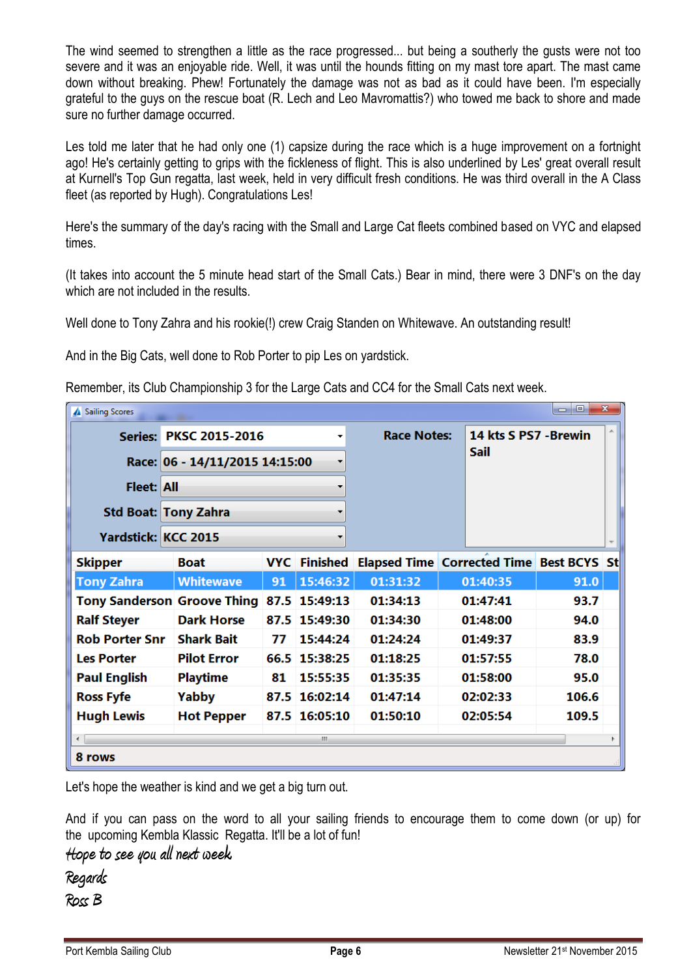The wind seemed to strengthen a little as the race progressed... but being a southerly the gusts were not too severe and it was an enjoyable ride. Well, it was until the hounds fitting on my mast tore apart. The mast came down without breaking. Phew! Fortunately the damage was not as bad as it could have been. I'm especially grateful to the guys on the rescue boat (R. Lech and Leo Mavromattis?) who towed me back to shore and made sure no further damage occurred.

Les told me later that he had only one (1) capsize during the race which is a huge improvement on a fortnight ago! He's certainly getting to grips with the fickleness of flight. This is also underlined by Les' great overall result at Kurnell's Top Gun regatta, last week, held in very difficult fresh conditions. He was third overall in the A Class fleet (as reported by Hugh). Congratulations Les!

Here's the summary of the day's racing with the Small and Large Cat fleets combined based on VYC and elapsed times.

(It takes into account the 5 minute head start of the Small Cats.) Bear in mind, there were 3 DNF's on the day which are not included in the results.

Well done to Tony Zahra and his rookie(!) crew Craig Standen on Whitewave. An outstanding result!

And in the Big Cats, well done to Rob Porter to pip Les on yardstick.

Remember, its Club Championship 3 for the Large Cats and CC4 for the Small Cats next week.

| $\mathbf{x}$<br>o<br>$\Box$<br><b>Sailing Scores</b><br>▲ |                                    |    |                     |                                                 |                                      |          |       |  |  |
|-----------------------------------------------------------|------------------------------------|----|---------------------|-------------------------------------------------|--------------------------------------|----------|-------|--|--|
|                                                           | Series: PKSC 2015-2016<br>۰        |    | <b>Race Notes:</b>  |                                                 | 14 kts S PS7 - Brewin<br><b>Sail</b> |          |       |  |  |
|                                                           | Race: 06 - 14/11/2015 14:15:00     |    |                     |                                                 |                                      |          |       |  |  |
| <b>Fleet: All</b>                                         |                                    |    |                     |                                                 |                                      |          |       |  |  |
|                                                           | <b>Std Boat: Tony Zahra</b>        |    |                     |                                                 |                                      |          |       |  |  |
| <b>Yardstick: KCC 2015</b>                                |                                    |    |                     |                                                 |                                      |          |       |  |  |
| <b>Skipper</b>                                            | <b>Boat</b>                        |    | <b>VYC</b> Finished | <b>Elapsed Time Corrected Time Best BCYS St</b> |                                      |          |       |  |  |
| <b>Tony Zahra</b>                                         | <b>Whitewave</b>                   | 91 | 15:46:32            | 01:31:32                                        |                                      | 01:40:35 | 91.0  |  |  |
|                                                           | <b>Tony Sanderson Groove Thing</b> |    | 87.5 15:49:13       | 01:34:13                                        |                                      | 01:47:41 | 93.7  |  |  |
| <b>Ralf Steyer</b>                                        | <b>Dark Horse</b>                  |    | 87.5 15:49:30       | 01:34:30                                        |                                      | 01:48:00 | 94.0  |  |  |
| <b>Rob Porter Snr</b>                                     | <b>Shark Bait</b>                  | 77 | 15:44:24            | 01:24:24                                        |                                      | 01:49:37 | 83.9  |  |  |
| <b>Les Porter</b>                                         | <b>Pilot Error</b>                 |    | 66.5 15:38:25       | 01:18:25                                        |                                      | 01:57:55 | 78.0  |  |  |
| <b>Paul English</b>                                       | <b>Playtime</b>                    | 81 | 15:55:35            | 01:35:35                                        |                                      | 01:58:00 | 95.0  |  |  |
| <b>Ross Fyfe</b>                                          | Yabby                              |    | 87.5 16:02:14       | 01:47:14                                        |                                      | 02:02:33 | 106.6 |  |  |
| <b>Hugh Lewis</b>                                         | <b>Hot Pepper</b>                  |    | 87.5 16:05:10       | 01:50:10                                        |                                      | 02:05:54 | 109.5 |  |  |
| $\leftarrow$                                              |                                    |    | m.                  |                                                 |                                      |          |       |  |  |
| 8 rows                                                    |                                    |    |                     |                                                 |                                      |          |       |  |  |

Let's hope the weather is kind and we get a big turn out.

And if you can pass on the word to all your sailing friends to encourage them to come down (or up) for the upcoming Kembla Klassic Regatta. It'll be a lot of fun!

**Hope to see you all next week.**

**Regards**

**Ross B**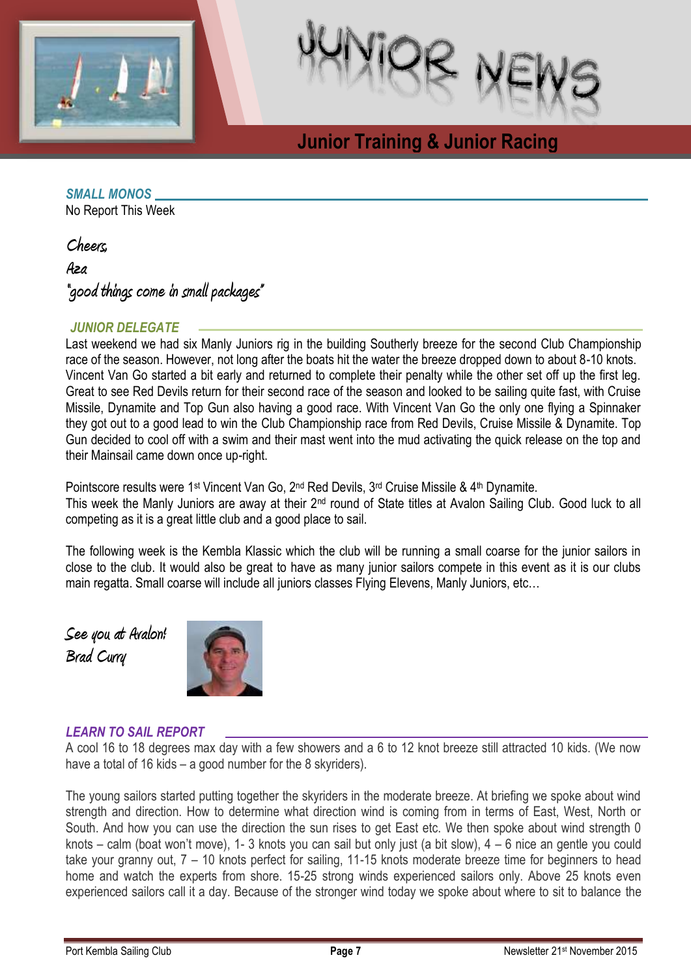



# **Junior Training & Junior Racing**

#### *SMALL MONOS*

No Report This Week

**Cheers,**

**Aza** 

**"good things come in small packages"**

#### *JUNIOR DELEGATE*

Last weekend we had six Manly Juniors rig in the building Southerly breeze for the second Club Championship race of the season. However, not long after the boats hit the water the breeze dropped down to about 8-10 knots. Vincent Van Go started a bit early and returned to complete their penalty while the other set off up the first leg. Great to see Red Devils return for their second race of the season and looked to be sailing quite fast, with Cruise Missile, Dynamite and Top Gun also having a good race. With Vincent Van Go the only one flying a Spinnaker they got out to a good lead to win the Club Championship race from Red Devils, Cruise Missile & Dynamite. Top Gun decided to cool off with a swim and their mast went into the mud activating the quick release on the top and their Mainsail came down once up-right.

**Racing**

Pointscore results were 1<sup>st</sup> Vincent Van Go, 2<sup>nd</sup> Red Devils, 3<sup>rd</sup> Cruise Missile & 4<sup>th</sup> Dynamite. This week the Manly Juniors are away at their 2nd round of State titles at Avalon Sailing Club. Good luck to all competing as it is a great little club and a good place to sail.

The following week is the Kembla Klassic which the club will be running a small coarse for the junior sailors in close to the club. It would also be great to have as many junior sailors compete in this event as it is our clubs main regatta. Small coarse will include all juniors classes Flying Elevens, Manly Juniors, etc…

**See you at Avalon! Brad Curry**



#### *LEARN TO SAIL REPORT*

A cool 16 to 18 degrees max day with a few showers and a 6 to 12 knot breeze still attracted 10 kids. (We now have a total of 16 kids – a good number for the 8 skyriders).

The young sailors started putting together the skyriders in the moderate breeze. At briefing we spoke about wind strength and direction. How to determine what direction wind is coming from in terms of East, West, North or South. And how you can use the direction the sun rises to get East etc. We then spoke about wind strength 0 knots – calm (boat won't move), 1- 3 knots you can sail but only just (a bit slow), 4 – 6 nice an gentle you could take your granny out, 7 – 10 knots perfect for sailing, 11-15 knots moderate breeze time for beginners to head home and watch the experts from shore. 15-25 strong winds experienced sailors only. Above 25 knots even experienced sailors call it a day. Because of the stronger wind today we spoke about where to sit to balance the